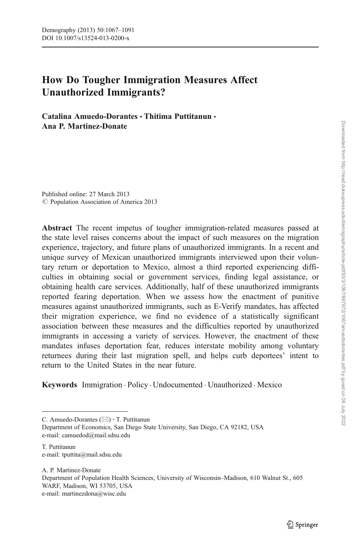# How Do Tougher Immigration Measures Affect Unauthorized Immigrants?

Catalina Amuedo-Dorantes • Thitima Puttitanun • Ana P. Martinez-Donate

Published online: 27 March 2013 C Population Association of America 2013

Abstract The recent impetus of tougher immigration-related measures passed at the state level raises concerns about the impact of such measures on the migration experience, trajectory, and future plans of unauthorized immigrants. In a recent and unique survey of Mexican unauthorized immigrants interviewed upon their voluntary return or deportation to Mexico, almost a third reported experiencing difficulties in obtaining social or government services, finding legal assistance, or obtaining health care services. Additionally, half of these unauthorized immigrants reported fearing deportation. When we assess how the enactment of punitive measures against unauthorized immigrants, such as E-Verify mandates, has affected their migration experience, we find no evidence of a statistically significant association between these measures and the difficulties reported by unauthorized immigrants in accessing a variety of services. However, the enactment of these mandates infuses deportation fear, reduces interstate mobility among voluntary returnees during their last migration spell, and helps curb deportees' intent to return to the United States in the near future.

Keywords Immigration . Policy . Undocumented . Unauthorized . Mexico

T. Puttitanun e-mail: tputtita@mail.sdsu.edu

A. P. Martinez-Donate Department of Population Health Sciences, University of Wisconsin–Madison, 610 Walnut St., 605 WARF, Madison, WI 53705, USA e-mail: martinezdona@wisc.edu

C. Amuedo-Dorantes  $(\boxtimes) \cdot$  T. Puttitanun

Department of Economics, San Diego State University, San Diego, CA 92182, USA e-mail: camuedod@mail.sdsu.edu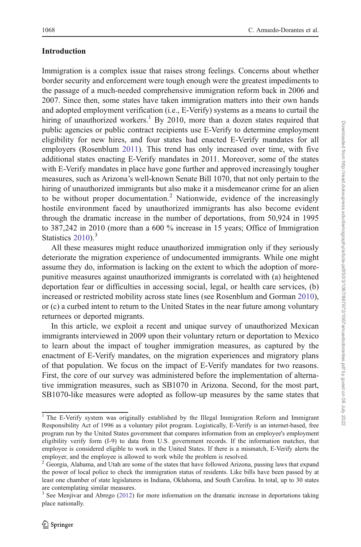## Introduction

Immigration is a complex issue that raises strong feelings. Concerns about whether border security and enforcement were tough enough were the greatest impediments to the passage of a much-needed comprehensive immigration reform back in 2006 and 2007. Since then, some states have taken immigration matters into their own hands and adopted employment verification (i.e., E-Verify) systems as a means to curtail the hiring of unauthorized workers.<sup>1</sup> By 2010, more than a dozen states required that public agencies or public contract recipients use E-Verify to determine employment eligibility for new hires, and four states had enacted E-Verify mandates for all employers (Rosenblum [2011\)](#page-24-0). This trend has only increased over time, with five additional states enacting E-Verify mandates in 2011. Moreover, some of the states with E-Verify mandates in place have gone further and approved increasingly tougher measures, such as Arizona's well-known Senate Bill 1070, that not only pertain to the hiring of unauthorized immigrants but also make it a misdemeanor crime for an alien to be without proper documentation.<sup>2</sup> Nationwide, evidence of the increasingly hostile environment faced by unauthorized immigrants has also become evident through the dramatic increase in the number of deportations, from 50,924 in 1995 to 387,242 in 2010 (more than a 600 % increase in 15 years; Office of Immigration Statistics  $2010$ .<sup>3</sup>

All these measures might reduce unauthorized immigration only if they seriously deteriorate the migration experience of undocumented immigrants. While one might assume they do, information is lacking on the extent to which the adoption of morepunitive measures against unauthorized immigrants is correlated with (a) heightened deportation fear or difficulties in accessing social, legal, or health care services, (b) increased or restricted mobility across state lines (see Rosenblum and Gorman [2010\)](#page-24-0), or (c) a curbed intent to return to the United States in the near future among voluntary returnees or deported migrants.

In this article, we exploit a recent and unique survey of unauthorized Mexican immigrants interviewed in 2009 upon their voluntary return or deportation to Mexico to learn about the impact of tougher immigration measures, as captured by the enactment of E-Verify mandates, on the migration experiences and migratory plans of that population. We focus on the impact of E-Verify mandates for two reasons. First, the core of our survey was administered before the implementation of alternative immigration measures, such as SB1070 in Arizona. Second, for the most part, SB1070-like measures were adopted as follow-up measures by the same states that

<sup>&</sup>lt;sup>1</sup> The E-Verify system was originally established by the Illegal Immigration Reform and Immigrant Responsibility Act of 1996 as a voluntary pilot program. Logistically, E-Verify is an internet-based, free program run by the United States government that compares information from an employee's employment eligibility verify form (I-9) to data from U.S. government records. If the information matches, that employee is considered eligible to work in the United States. If there is a mismatch, E-Verify alerts the employer, and the employee is allowed to work while the problem is resolved.

 $2^2$  Georgia, Alabama, and Utah are some of the states that have followed Arizona, passing laws that expand the power of local police to check the immigration status of residents. Like bills have been passed by at least one chamber of state legislatures in Indiana, Oklahoma, and South Carolina. In total, up to 30 states are contemplating similar measures.

 $3$  See Menjivar and Abrego [\(2012\)](#page-23-0) for more information on the dramatic increase in deportations taking place nationally.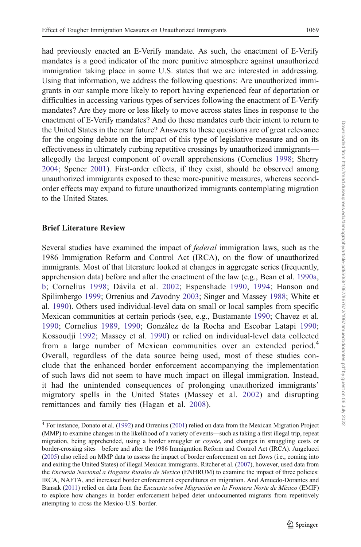had previously enacted an E-Verify mandate. As such, the enactment of E-Verify mandates is a good indicator of the more punitive atmosphere against unauthorized immigration taking place in some U.S. states that we are interested in addressing. Using that information, we address the following questions: Are unauthorized immigrants in our sample more likely to report having experienced fear of deportation or difficulties in accessing various types of services following the enactment of E-Verify mandates? Are they more or less likely to move across states lines in response to the enactment of E-Verify mandates? And do these mandates curb their intent to return to the United States in the near future? Answers to these questions are of great relevance for the ongoing debate on the impact of this type of legislative measure and on its effectiveness in ultimately curbing repetitive crossings by unauthorized immigrants allegedly the largest component of overall apprehensions (Cornelius [1998](#page-22-0); Sherry [2004;](#page-24-0) Spener [2001\)](#page-24-0). First-order effects, if they exist, should be observed among unauthorized immigrants exposed to these more-punitive measures, whereas secondorder effects may expand to future unauthorized immigrants contemplating migration to the United States.

## Brief Literature Review

Several studies have examined the impact of federal immigration laws, such as the 1986 Immigration Reform and Control Act (IRCA), on the flow of unauthorized immigrants. Most of that literature looked at changes in aggregate series (frequently, apprehension data) before and after the enactment of the law (e.g., Bean et al. [1990a,](#page-22-0) [b](#page-22-0); Cornelius [1998](#page-22-0); Dávila et al. [2002](#page-22-0); Espenshade [1990,](#page-23-0) [1994](#page-23-0); Hanson and Spilimbergo [1999;](#page-23-0) Orrenius and Zavodny [2003](#page-23-0); Singer and Massey [1988](#page-24-0); White et al. [1990\)](#page-24-0). Others used individual-level data on small or local samples from specific Mexican communities at certain periods (see, e.g., Bustamante [1990;](#page-22-0) Chavez et al. [1990](#page-22-0); Cornelius [1989](#page-22-0), [1990](#page-22-0); González de la Rocha and Escobar Latapi [1990;](#page-23-0) Kossoudji [1992](#page-23-0); Massey et al. [1990](#page-23-0)) or relied on individual-level data collected from a large number of Mexican communities over an extended period.<sup>4</sup> Overall, regardless of the data source being used, most of these studies conclude that the enhanced border enforcement accompanying the implementation of such laws did not seem to have much impact on illegal immigration. Instead, it had the unintended consequences of prolonging unauthorized immigrants' migratory spells in the United States (Massey et al. [2002](#page-23-0)) and disrupting remittances and family ties (Hagan et al. [2008\)](#page-23-0).

<sup>4</sup> For instance, Donato et al. ([1992\)](#page-23-0) and Orrenius ([2001](#page-23-0)) relied on data from the Mexican Migration Project (MMP) to examine changes in the likelihood of a variety of events—such as taking a first illegal trip, repeat migration, being apprehended, using a border smuggler or coyote, and changes in smuggling costs or border-crossing sites—before and after the 1986 Immigration Reform and Control Act (IRCA). Angelucci ([2005\)](#page-22-0) also relied on MMP data to assess the impact of border enforcement on net flows (i.e., coming into and exiting the United States) of illegal Mexican immigrants. Ritcher et al. ([2007\)](#page-24-0), however, used data from the *Encuesta Nacional a Hogares Rurales de Mexico* (ENHRUM) to examine the impact of three policies: IRCA, NAFTA, and increased border enforcement expenditures on migration. And Amuedo-Dorantes and Bansak [\(2011\)](#page-22-0) relied on data from the Encuesta sobre Migración en la Frontera Norte de México (EMIF) to explore how changes in border enforcement helped deter undocumented migrants from repetitively attempting to cross the Mexico-U.S. border.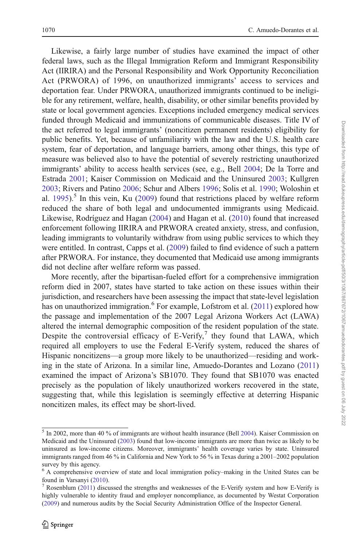Likewise, a fairly large number of studies have examined the impact of other federal laws, such as the Illegal Immigration Reform and Immigrant Responsibility Act (IIRIRA) and the Personal Responsibility and Work Opportunity Reconciliation Act (PRWORA) of 1996, on unauthorized immigrants' access to services and deportation fear. Under PRWORA, unauthorized immigrants continued to be ineligible for any retirement, welfare, health, disability, or other similar benefits provided by state or local government agencies. Exceptions included emergency medical services funded through Medicaid and immunizations of communicable diseases. Title IV of the act referred to legal immigrants' (noncitizen permanent residents) eligibility for public benefits. Yet, because of unfamiliarity with the law and the U.S. health care system, fear of deportation, and language barriers, among other things, this type of measure was believed also to have the potential of severely restricting unauthorized immigrants' ability to access health services (see, e.g., Bell [2004](#page-22-0); De la Torre and Estrada [2001](#page-23-0); Kaiser Commission on Medicaid and the Uninsured [2003;](#page-23-0) Kullgren [2003;](#page-23-0) Rivers and Patino [2006](#page-24-0); Schur and Albers [1996](#page-24-0); Solis et al. [1990;](#page-24-0) Woloshin et al.  $1995$ <sup>5</sup>. In this vein, Ku ([2009\)](#page-23-0) found that restrictions placed by welfare reform reduced the share of both legal and undocumented immigrants using Medicaid. Likewise, Rodríguez and Hagan [\(2004](#page-24-0)) and Hagan et al. ([2010\)](#page-23-0) found that increased enforcement following IIRIRA and PRWORA created anxiety, stress, and confusion, leading immigrants to voluntarily withdraw from using public services to which they were entitled. In contrast, Capps et al. [\(2009](#page-22-0)) failed to find evidence of such a pattern after PRWORA. For instance, they documented that Medicaid use among immigrants did not decline after welfare reform was passed.

More recently, after the bipartisan-fueled effort for a comprehensive immigration reform died in 2007, states have started to take action on these issues within their jurisdiction, and researchers have been assessing the impact that state-level legislation has on unauthorized immigration.<sup>6</sup> For example, Lofstrom et al.  $(2011)$  $(2011)$  explored how the passage and implementation of the 2007 Legal Arizona Workers Act (LAWA) altered the internal demographic composition of the resident population of the state. Despite the controversial efficacy of E-Verify, $\frac{7}{1}$  they found that LAWA, which required all employers to use the Federal E-Verify system, reduced the shares of Hispanic noncitizens—a group more likely to be unauthorized—residing and working in the state of Arizona. In a similar line, Amuedo-Dorantes and Lozano [\(2011](#page-22-0)) examined the impact of Arizona's SB1070. They found that SB1070 was enacted precisely as the population of likely unauthorized workers recovered in the state, suggesting that, while this legislation is seemingly effective at deterring Hispanic noncitizen males, its effect may be short-lived.

 $<sup>5</sup>$  In 2002, more than 40 % of immigrants are without health insurance (Bell [2004](#page-22-0)). Kaiser Commission on</sup> Medicaid and the Uninsured ([2003\)](#page-23-0) found that low-income immigrants are more than twice as likely to be uninsured as low-income citizens. Moreover, immigrants' health coverage varies by state. Uninsured immigrants ranged from 46 % in California and New York to 56 % in Texas during a 2001–2002 population survey by this agency.

<sup>6</sup> A comprehensive overview of state and local immigration policy–making in the United States can be found in Varsanyi ([2010\)](#page-24-0).<br><sup>7</sup> Rosenblum ([2011](#page-24-0)) discussed the strengths and weaknesses of the E-Verify system and how E-Verify is

highly vulnerable to identity fraud and employer noncompliance, as documented by Westat Corporation ([2009\)](#page-24-0) and numerous audits by the Social Security Administration Office of the Inspector General.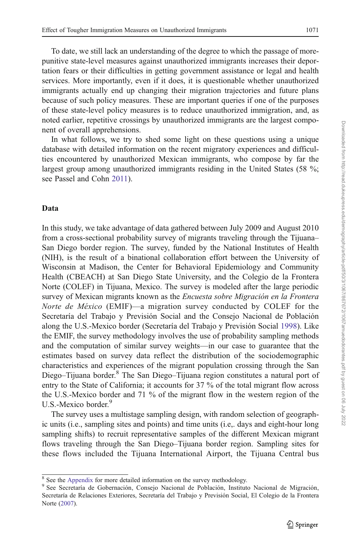To date, we still lack an understanding of the degree to which the passage of morepunitive state-level measures against unauthorized immigrants increases their deportation fears or their difficulties in getting government assistance or legal and health services. More importantly, even if it does, it is questionable whether unauthorized immigrants actually end up changing their migration trajectories and future plans because of such policy measures. These are important queries if one of the purposes of these state-level policy measures is to reduce unauthorized immigration, and, as noted earlier, repetitive crossings by unauthorized immigrants are the largest component of overall apprehensions.

In what follows, we try to shed some light on these questions using a unique database with detailed information on the recent migratory experiences and difficulties encountered by unauthorized Mexican immigrants, who compose by far the largest group among unauthorized immigrants residing in the United States (58 %; see Passel and Cohn [2011\)](#page-24-0).

#### Data

In this study, we take advantage of data gathered between July 2009 and August 2010 from a cross-sectional probability survey of migrants traveling through the Tijuana– San Diego border region. The survey, funded by the National Institutes of Health (NIH), is the result of a binational collaboration effort between the University of Wisconsin at Madison, the Center for Behavioral Epidemiology and Community Health (CBEACH) at San Diego State University, and the Colegio de la Frontera Norte (COLEF) in Tijuana, Mexico. The survey is modeled after the large periodic survey of Mexican migrants known as the *Encuesta sobre Migración en la Frontera* Norte de México (EMIF)—a migration survey conducted by COLEF for the Secretaría del Trabajo y Previsión Social and the Consejo Nacional de Población along the U.S.-Mexico border (Secretaría del Trabajo y Previsión Social [1998\)](#page-24-0). Like the EMIF, the survey methodology involves the use of probability sampling methods and the computation of similar survey weights—in our case to guarantee that the estimates based on survey data reflect the distribution of the sociodemographic characteristics and experiences of the migrant population crossing through the San Diego–Tijuana border.<sup>8</sup> The San Diego–Tijuana region constitutes a natural port of entry to the State of California; it accounts for 37 % of the total migrant flow across the U.S.-Mexico border and 71 % of the migrant flow in the western region of the U.S.-Mexico border.<sup>9</sup>

The survey uses a multistage sampling design, with random selection of geographic units (i.e., sampling sites and points) and time units (i.e,. days and eight-hour long sampling shifts) to recruit representative samples of the different Mexican migrant flows traveling through the San Diego–Tijuana border region. Sampling sites for these flows included the Tijuana International Airport, the Tijuana Central bus

<sup>8</sup> See the [Appendix](#page-19-0) for more detailed information on the survey methodology. <sup>9</sup> See Secretaría de Gobernación, Consejo Nacional de Población, Instituto Nacional de Migración, Secretaría de Relaciones Exteriores, Secretaría del Trabajo y Previsión Social, El Colegio de la Frontera Norte ([2007\)](#page-24-0).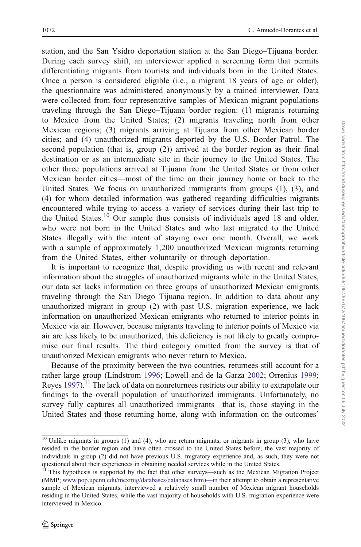station, and the San Ysidro deportation station at the San Diego–Tijuana border. During each survey shift, an interviewer applied a screening form that permits differentiating migrants from tourists and individuals born in the United States. Once a person is considered eligible (i.e., a migrant 18 years of age or older), the questionnaire was administered anonymously by a trained interviewer. Data were collected from four representative samples of Mexican migrant populations traveling through the San Diego–Tijuana border region: (1) migrants returning to Mexico from the United States; (2) migrants traveling north from other Mexican regions; (3) migrants arriving at Tijuana from other Mexican border cities; and (4) unauthorized migrants deported by the U.S. Border Patrol. The second population (that is, group (2)) arrived at the border region as their final destination or as an intermediate site in their journey to the United States. The other three populations arrived at Tijuana from the United States or from other Mexican border cities—most of the time on their journey home or back to the United States. We focus on unauthorized immigrants from groups (1), (3), and (4) for whom detailed information was gathered regarding difficulties migrants encountered while trying to access a variety of services during their last trip to the United States.<sup>10</sup> Our sample thus consists of individuals aged 18 and older, who were not born in the United States and who last migrated to the United States illegally with the intent of staying over one month. Overall, we work with a sample of approximately 1,200 unauthorized Mexican migrants returning from the United States, either voluntarily or through deportation.

It is important to recognize that, despite providing us with recent and relevant information about the struggles of unauthorized migrants while in the United States, our data set lacks information on three groups of unauthorized Mexican emigrants traveling through the San Diego–Tijuana region. In addition to data about any unauthorized migrant in group (2) with past U.S. migration experience, we lack information on unauthorized Mexican emigrants who returned to interior points in Mexico via air. However, because migrants traveling to interior points of Mexico via air are less likely to be unauthorized, this deficiency is not likely to greatly compromise our final results. The third category omitted from the survey is that of unauthorized Mexican emigrants who never return to Mexico.

Because of the proximity between the two countries, returnees still account for a rather large group (Lindstrom [1996](#page-23-0); Lowell and de la Garza [2002](#page-23-0); Orrenius [1999;](#page-23-0) Reyes  $1997$ ).<sup>11</sup> The lack of data on nonreturnees restricts our ability to extrapolate our findings to the overall population of unauthorized immigrants. Unfortunately, no survey fully captures all unauthorized immigrants—that is, those staying in the United States and those returning home, along with information on the outcomes'

<sup>&</sup>lt;sup>10</sup> Unlike migrants in groups (1) and (4), who are return migrants, or migrants in group (3), who have resided in the border region and have often crossed to the United States before, the vast majority of individuals in group (2) did not have previous U.S. migratory experience and, as such, they were not

questioned about their experiences in obtaining needed services while in the United States.<br><sup>11</sup> This hypothesis is supported by the fact that other surveys—such as the Mexican Migration Project (MMP; [www.pop.upenn.edu/mexmig/databases/databases.htm\)](http://www.pop.upenn.edu/mexmig/databases/databases.htm)%E2%80%94in)—in their attempt to obtain a representative sample of Mexican migrants, interviewed a relatively small number of Mexican migrant households residing in the United States, while the vast majority of households with U.S. migration experience were interviewed in Mexico.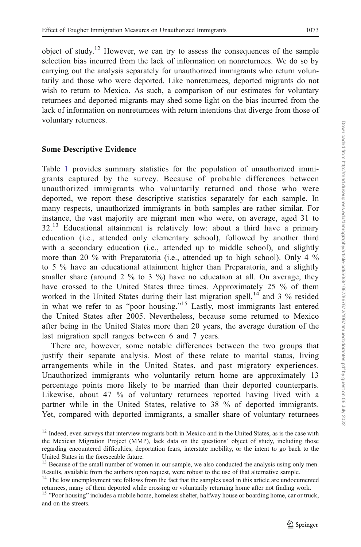object of study.<sup>12</sup> However, we can try to assess the consequences of the sample selection bias incurred from the lack of information on nonreturnees. We do so by carrying out the analysis separately for unauthorized immigrants who return voluntarily and those who were deported. Like nonreturnees, deported migrants do not wish to return to Mexico. As such, a comparison of our estimates for voluntary returnees and deported migrants may shed some light on the bias incurred from the lack of information on nonreturnees with return intentions that diverge from those of voluntary returnees.

# Some Descriptive Evidence

Table [1](#page-7-0) provides summary statistics for the population of unauthorized immigrants captured by the survey. Because of probable differences between unauthorized immigrants who voluntarily returned and those who were deported, we report these descriptive statistics separately for each sample. In many respects, unauthorized immigrants in both samples are rather similar. For instance, the vast majority are migrant men who were, on average, aged 31 to  $32<sup>13</sup>$  Educational attainment is relatively low: about a third have a primary education (i.e., attended only elementary school), followed by another third with a secondary education (i.e., attended up to middle school), and slightly more than 20 % with Preparatoria (i.e., attended up to high school). Only 4 % to 5 % have an educational attainment higher than Preparatoria, and a slightly smaller share (around 2 % to 3 %) have no education at all. On average, they have crossed to the United States three times. Approximately 25 % of them worked in the United States during their last migration spell,  $^{14}$  and 3 % resided in what we refer to as "poor housing."<sup>15</sup> Lastly, most immigrants last entered the United States after 2005. Nevertheless, because some returned to Mexico after being in the United States more than 20 years, the average duration of the last migration spell ranges between 6 and 7 years.

There are, however, some notable differences between the two groups that justify their separate analysis. Most of these relate to marital status, living arrangements while in the United States, and past migratory experiences. Unauthorized immigrants who voluntarily return home are approximately 13 percentage points more likely to be married than their deported counterparts. Likewise, about 47 % of voluntary returnees reported having lived with a partner while in the United States, relative to 38 % of deported immigrants. Yet, compared with deported immigrants, a smaller share of voluntary returnees

<sup>&</sup>lt;sup>12</sup> Indeed, even surveys that interview migrants both in Mexico and in the United States, as is the case with the Mexican Migration Project (MMP), lack data on the questions' object of study, including those regarding encountered difficulties, deportation fears, interstate mobility, or the intent to go back to the United States in the foreseeable future.

<sup>&</sup>lt;sup>13</sup> Because of the small number of women in our sample, we also conducted the analysis using only men. Results, available from the authors upon request, were robust to the use of that alternative sample.

<sup>&</sup>lt;sup>14</sup> The low unemployment rate follows from the fact that the samples used in this article are undocumented returnees, many of them deported while crossing or voluntarily returning home after not finding work.

<sup>&</sup>lt;sup>15</sup> "Poor housing" includes a mobile home, homeless shelter, halfway house or boarding home, car or truck, and on the streets.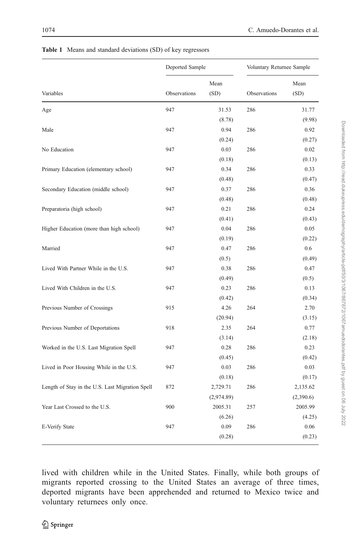|                                                 | Deported Sample |              | Voluntary Returnee Sample |              |
|-------------------------------------------------|-----------------|--------------|---------------------------|--------------|
| Variables                                       | Observations    | Mean<br>(SD) | Observations              | Mean<br>(SD) |
| Age                                             | 947             | 31.53        | 286                       | 31.77        |
|                                                 |                 | (8.78)       |                           | (9.98)       |
| Male                                            | 947             | 0.94         | 286                       | 0.92         |
|                                                 |                 | (0.24)       |                           | (0.27)       |
| No Education                                    | 947             | 0.03         | 286                       | 0.02         |
|                                                 |                 | (0.18)       |                           | (0.13)       |
| Primary Education (elementary school)           | 947             | 0.34         | 286                       | 0.33         |
|                                                 |                 | (0.48)       |                           | (0.47)       |
| Secondary Education (middle school)             | 947             | 0.37         | 286                       | 0.36         |
|                                                 |                 | (0.48)       |                           | (0.48)       |
| Preparatoria (high school)                      | 947             | 0.21         | 286                       | 0.24         |
|                                                 |                 | (0.41)       |                           | (0.43)       |
| Higher Education (more than high school)        | 947             | 0.04         | 286                       | 0.05         |
|                                                 |                 | (0.19)       |                           | (0.22)       |
| Married                                         | 947             | 0.47         | 286                       | 0.6          |
|                                                 |                 | (0.5)        |                           | (0.49)       |
| Lived With Partner While in the U.S.            | 947             | 0.38         | 286                       | 0.47         |
|                                                 |                 | (0.49)       |                           | (0.5)        |
| Lived With Children in the U.S.                 | 947             | 0.23         | 286                       | 0.13         |
|                                                 |                 | (0.42)       |                           | (0.34)       |
| Previous Number of Crossings                    | 915             | 4.26         | 264                       | 2.70         |
|                                                 |                 | (20.94)      |                           | (3.15)       |
| Previous Number of Deportations                 | 918             | 2.35         | 264                       | 0.77         |
|                                                 |                 | (3.14)       |                           | (2.18)       |
| Worked in the U.S. Last Migration Spell         | 947             | 0.28         | 286                       | 0.23         |
|                                                 |                 | (0.45)       |                           | (0.42)       |
| Lived in Poor Housing While in the U.S.         | 947             | 0.03         | 286                       | 0.03         |
|                                                 |                 | (0.18)       |                           | (0.17)       |
| Length of Stay in the U.S. Last Migration Spell | 872             | 2,729.71     | 286                       | 2,135.62     |
|                                                 |                 | (2,974.89)   |                           | (2,390.6)    |
| Year Last Crossed to the U.S.                   | 900             | 2005.31      | 257                       | 2005.99      |
|                                                 |                 | (6.26)       |                           | (4.25)       |
| E-Verify State                                  | 947             | 0.09         | 286                       | 0.06         |
|                                                 |                 | (0.28)       |                           | (0.23)       |

## <span id="page-7-0"></span>Table 1 Means and standard deviations (SD) of key regressors

lived with children while in the United States. Finally, while both groups of migrants reported crossing to the United States an average of three times, deported migrants have been apprehended and returned to Mexico twice and voluntary returnees only once.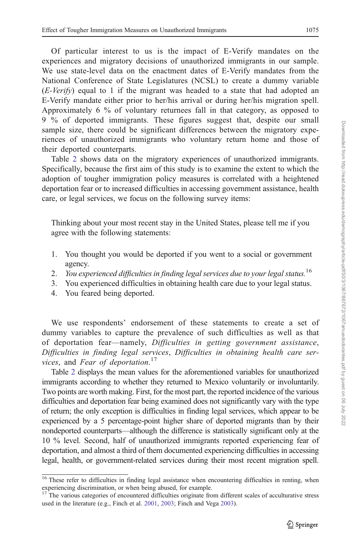Of particular interest to us is the impact of E-Verify mandates on the experiences and migratory decisions of unauthorized immigrants in our sample. We use state-level data on the enactment dates of E-Verify mandates from the National Conference of State Legislatures (NCSL) to create a dummy variable  $(E-Verify)$  equal to 1 if the migrant was headed to a state that had adopted an E-Verify mandate either prior to her/his arrival or during her/his migration spell. Approximately 6 % of voluntary returnees fall in that category, as opposed to 9 % of deported immigrants. These figures suggest that, despite our small sample size, there could be significant differences between the migratory experiences of unauthorized immigrants who voluntary return home and those of their deported counterparts.

Table [2](#page-9-0) shows data on the migratory experiences of unauthorized immigrants. Specifically, because the first aim of this study is to examine the extent to which the adoption of tougher immigration policy measures is correlated with a heightened deportation fear or to increased difficulties in accessing government assistance, health care, or legal services, we focus on the following survey items:

Thinking about your most recent stay in the United States, please tell me if you agree with the following statements:

- 1. You thought you would be deported if you went to a social or government agency.
- 2. You experienced difficulties in finding legal services due to your legal status.<sup>16</sup>
- 3. You experienced difficulties in obtaining health care due to your legal status.
- 4. You feared being deported.

We use respondents' endorsement of these statements to create a set of dummy variables to capture the prevalence of such difficulties as well as that of deportation fear—namely, Difficulties in getting government assistance, Difficulties in finding legal services, Difficulties in obtaining health care services, and Fear of deportation.<sup>17</sup>

Table [2](#page-9-0) displays the mean values for the aforementioned variables for unauthorized immigrants according to whether they returned to Mexico voluntarily or involuntarily. Two points are worth making. First, for the most part, the reported incidence of the various difficulties and deportation fear being examined does not significantly vary with the type of return; the only exception is difficulties in finding legal services, which appear to be experienced by a 5 percentage-point higher share of deported migrants than by their nondeported counterparts—although the difference is statistically significant only at the 10 % level. Second, half of unauthorized immigrants reported experiencing fear of deportation, and almost a third of them documented experiencing difficulties in accessing legal, health, or government-related services during their most recent migration spell.

<sup>&</sup>lt;sup>16</sup> These refer to difficulties in finding legal assistance when encountering difficulties in renting, when experiencing discrimination, or when being abused, for example.

<sup>&</sup>lt;sup>17</sup> The various categories of encountered difficulties originate from different scales of acculturative stress used in the literature (e.g., Finch et al. [2001,](#page-23-0) [2003;](#page-23-0) Finch and Vega [2003\)](#page-23-0).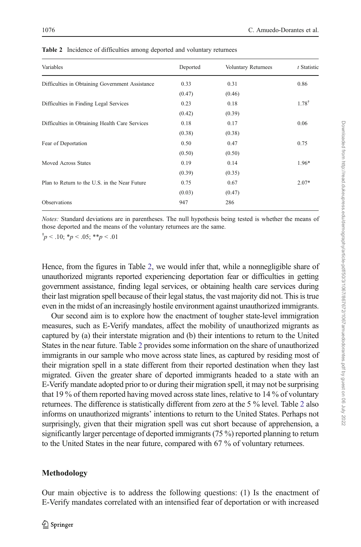| Variables                                       | Deported | <b>Voluntary Returnees</b> | t Statistic      |
|-------------------------------------------------|----------|----------------------------|------------------|
| Difficulties in Obtaining Government Assistance | 0.33     | 0.31                       | 0.86             |
|                                                 | (0.47)   | (0.46)                     |                  |
| Difficulties in Finding Legal Services          | 0.23     | 0.18                       | $1.78^{\dagger}$ |
|                                                 | (0.42)   | (0.39)                     |                  |
| Difficulties in Obtaining Health Care Services  | 0.18     | 0.17                       | 0.06             |
|                                                 | (0.38)   | (0.38)                     |                  |
| Fear of Deportation                             | 0.50     | 0.47                       | 0.75             |
|                                                 | (0.50)   | (0.50)                     |                  |
| Moved Across States                             | 0.19     | 0.14                       | $1.96*$          |
|                                                 | (0.39)   | (0.35)                     |                  |
| Plan to Return to the U.S. in the Near Future   | 0.75     | 0.67                       | $2.07*$          |
|                                                 | (0.03)   | (0.47)                     |                  |
| Observations                                    | 947      | 286                        |                  |

<span id="page-9-0"></span>Table 2 Incidence of difficulties among deported and voluntary returnees

Notes: Standard deviations are in parentheses. The null hypothesis being tested is whether the means of those deported and the means of the voluntary returnees are the same.

 $\uparrow p < .10; \uparrow p < .05; \uparrow \uparrow p < .01$ 

Hence, from the figures in Table 2, we would infer that, while a nonnegligible share of unauthorized migrants reported experiencing deportation fear or difficulties in getting government assistance, finding legal services, or obtaining health care services during their last migration spell because of their legal status, the vast majority did not. This is true even in the midst of an increasingly hostile environment against unauthorized immigrants.

Our second aim is to explore how the enactment of tougher state-level immigration measures, such as E-Verify mandates, affect the mobility of unauthorized migrants as captured by (a) their interstate migration and (b) their intentions to return to the United States in the near future. Table 2 provides some information on the share of unauthorized immigrants in our sample who move across state lines, as captured by residing most of their migration spell in a state different from their reported destination when they last migrated. Given the greater share of deported immigrants headed to a state with an E-Verify mandate adopted prior to or during their migration spell, it may not be surprising that 19 % of them reported having moved across state lines, relative to 14 % of voluntary returnees. The difference is statistically different from zero at the 5 % level. Table 2 also informs on unauthorized migrants' intentions to return to the United States. Perhaps not surprisingly, given that their migration spell was cut short because of apprehension, a significantly larger percentage of deported immigrants (75 %) reported planning to return to the United States in the near future, compared with 67 % of voluntary returnees.

## Methodology

Our main objective is to address the following questions: (1) Is the enactment of E-Verify mandates correlated with an intensified fear of deportation or with increased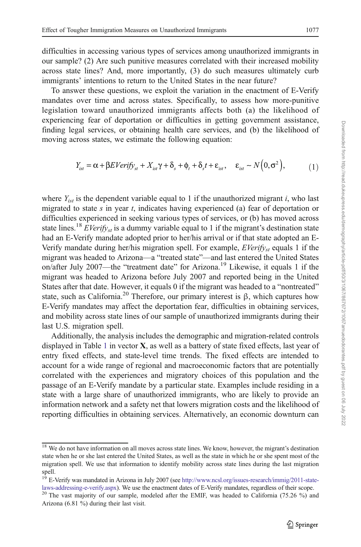<span id="page-10-0"></span>difficulties in accessing various types of services among unauthorized immigrants in our sample? (2) Are such punitive measures correlated with their increased mobility across state lines? And, more importantly, (3) do such measures ultimately curb immigrants' intentions to return to the United States in the near future?

To answer these questions, we exploit the variation in the enactment of E-Verify mandates over time and across states. Specifically, to assess how more-punitive legislation toward unauthorized immigrants affects both (a) the likelihood of experiencing fear of deportation or difficulties in getting government assistance, finding legal services, or obtaining health care services, and (b) the likelihood of moving across states, we estimate the following equation:

$$
Y_{ist} = \alpha + \beta EVerif_{St} + X_{ist}\gamma + \delta_s + \phi_t + \delta_s t + \varepsilon_{ist}, \quad \varepsilon_{ist} \sim N(0, \sigma^2), \tag{1}
$$

where  $Y_{ist}$  is the dependent variable equal to 1 if the unauthorized migrant i, who last migrated to state  $s$  in year  $t$ , indicates having experienced (a) fear of deportation or difficulties experienced in seeking various types of services, or (b) has moved across state lines.<sup>18</sup> *EVerify<sub>st</sub>* is a dummy variable equal to 1 if the migrant's destination state had an E-Verify mandate adopted prior to her/his arrival or if that state adopted an E-Verify mandate during her/his migration spell. For example,  $EVerif<sub>Y</sub>$  equals 1 if the migrant was headed to Arizona—a "treated state"—and last entered the United States on/after July 2007—the "treatment date" for Arizona.<sup>19</sup> Likewise, it equals 1 if the migrant was headed to Arizona before July 2007 and reported being in the United States after that date. However, it equals 0 if the migrant was headed to a "nontreated" state, such as California.<sup>20</sup> Therefore, our primary interest is  $\beta$ , which captures how E-Verify mandates may affect the deportation fear, difficulties in obtaining services, and mobility across state lines of our sample of unauthorized immigrants during their last U.S. migration spell.

Additionally, the analysis includes the demographic and migration-related controls displayed in Table [1](#page-7-0) in vector  $X$ , as well as a battery of state fixed effects, last year of entry fixed effects, and state-level time trends. The fixed effects are intended to account for a wide range of regional and macroeconomic factors that are potentially correlated with the experiences and migratory choices of this population and the passage of an E-Verify mandate by a particular state. Examples include residing in a state with a large share of unauthorized immigrants, who are likely to provide an information network and a safety net that lowers migration costs and the likelihood of reporting difficulties in obtaining services. Alternatively, an economic downturn can

<sup>&</sup>lt;sup>18</sup> We do not have information on all moves across state lines. We know, however, the migrant's destination state when he or she last entered the United States, as well as the state in which he or she spent most of the migration spell. We use that information to identify mobility across state lines during the last migration spell.

<sup>&</sup>lt;sup>19</sup> E-Verify was mandated in Arizona in July 2007 (see [http://www.ncsl.org/issues-research/immig/2011-state-](http://www.ncsl.org/issues-research/immig/2011-state-laws-addressing-e-verify.aspx)

[laws-addressing-e-verify.aspx](http://www.ncsl.org/issues-research/immig/2011-state-laws-addressing-e-verify.aspx)). We use the enactment dates of E-Verify mandates, regardless of their scope.<br><sup>20</sup> The vast majority of our sample, modeled after the EMIF, was headed to California (75.26 %) and Arizona (6.81 %) during their last visit.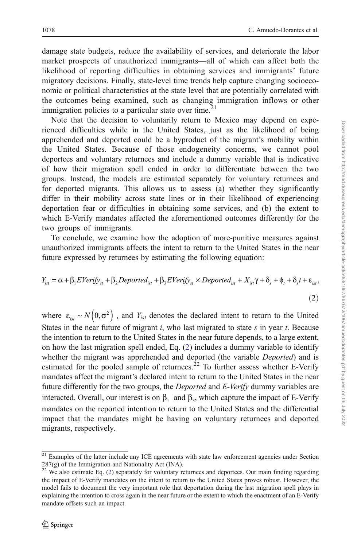$(2)$ 

<span id="page-11-0"></span>damage state budgets, reduce the availability of services, and deteriorate the labor market prospects of unauthorized immigrants—all of which can affect both the likelihood of reporting difficulties in obtaining services and immigrants' future migratory decisions. Finally, state-level time trends help capture changing socioeconomic or political characteristics at the state level that are potentially correlated with the outcomes being examined, such as changing immigration inflows or other immigration policies to a particular state over time.<sup>21</sup>

Note that the decision to voluntarily return to Mexico may depend on experienced difficulties while in the United States, just as the likelihood of being apprehended and deported could be a byproduct of the migrant's mobility within the United States. Because of those endogeneity concerns, we cannot pool deportees and voluntary returnees and include a dummy variable that is indicative of how their migration spell ended in order to differentiate between the two groups. Instead, the models are estimated separately for voluntary returnees and for deported migrants. This allows us to assess (a) whether they significantly differ in their mobility across state lines or in their likelihood of experiencing deportation fear or difficulties in obtaining some services, and (b) the extent to which E-Verify mandates affected the aforementioned outcomes differently for the two groups of immigrants.

To conclude, we examine how the adoption of more-punitive measures against unauthorized immigrants affects the intent to return to the United States in the near future expressed by returnees by estimating the following equation:

$$
Y_{ist} = \alpha + \beta_1 EVerif_{y_{st}} + \beta_2 Deported_{ist} + \beta_3 EVerif_{y_{st}} \times Deported_{ist} + X_{ist}\gamma + \delta_s + \phi_t + \delta_s t + \varepsilon_{ist},
$$

where  $\varepsilon_{ist} \sim N(0,\sigma^2)$ , and  $Y_{ist}$  denotes the declared intent to return to the United States in the near future of migrant  $i$ , who last migrated to state  $s$  in year  $t$ . Because the intention to return to the United States in the near future depends, to a large extent, on how the last migration spell ended, Eq. (2) includes a dummy variable to identify whether the migrant was apprehended and deported (the variable Deported) and is estimated for the pooled sample of returnees. $^{22}$  To further assess whether E-Verify mandates affect the migrant's declared intent to return to the United States in the near future differently for the two groups, the *Deported* and *E-Verify* dummy variables are interacted. Overall, our interest is on  $\beta_1$  and  $\beta_2$ , which capture the impact of E-Verify mandates on the reported intention to return to the United States and the differential impact that the mandates might be having on voluntary returnees and deported migrants, respectively.

<sup>&</sup>lt;sup>21</sup> Examples of the latter include any ICE agreements with state law enforcement agencies under Section  $287(g)$  of the Immigration and Nationality Act (INA).

 $22$  We also estimate Eq. (2) separately for voluntary returnees and deportees. Our main finding regarding the impact of E-Verify mandates on the intent to return to the United States proves robust. However, the model fails to document the very important role that deportation during the last migration spell plays in explaining the intention to cross again in the near future or the extent to which the enactment of an E-Verify mandate offsets such an impact.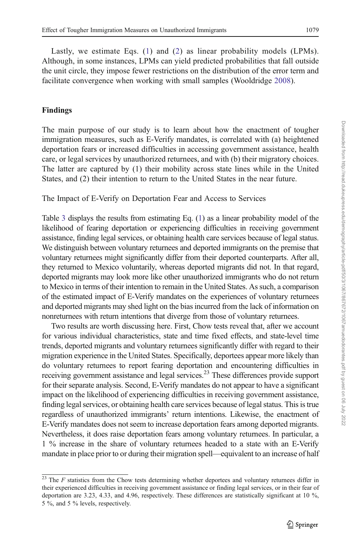Lastly, we estimate Eqs. [\(1](#page-10-0)) and ([2](#page-11-0)) as linear probability models (LPMs). Although, in some instances, LPMs can yield predicted probabilities that fall outside the unit circle, they impose fewer restrictions on the distribution of the error term and facilitate convergence when working with small samples (Wooldridge [2008](#page-24-0)).

#### Findings

The main purpose of our study is to learn about how the enactment of tougher immigration measures, such as E-Verify mandates, is correlated with (a) heightened deportation fears or increased difficulties in accessing government assistance, health care, or legal services by unauthorized returnees, and with (b) their migratory choices. The latter are captured by (1) their mobility across state lines while in the United States, and (2) their intention to return to the United States in the near future.

The Impact of E-Verify on Deportation Fear and Access to Services

Table [3](#page-13-0) displays the results from estimating Eq. [\(1](#page-10-0)) as a linear probability model of the likelihood of fearing deportation or experiencing difficulties in receiving government assistance, finding legal services, or obtaining health care services because of legal status. We distinguish between voluntary returnees and deported immigrants on the premise that voluntary returnees might significantly differ from their deported counterparts. After all, they returned to Mexico voluntarily, whereas deported migrants did not. In that regard, deported migrants may look more like other unauthorized immigrants who do not return to Mexico in terms of their intention to remain in the United States. As such, a comparison of the estimated impact of E-Verify mandates on the experiences of voluntary returnees and deported migrants may shed light on the bias incurred from the lack of information on nonreturnees with return intentions that diverge from those of voluntary returnees.

Two results are worth discussing here. First, Chow tests reveal that, after we account for various individual characteristics, state and time fixed effects, and state-level time trends, deported migrants and voluntary returnees significantly differ with regard to their migration experience in the United States. Specifically, deportees appear more likely than do voluntary returnees to report fearing deportation and encountering difficulties in receiving government assistance and legal services.<sup>23</sup> These differences provide support for their separate analysis. Second, E-Verify mandates do not appear to have a significant impact on the likelihood of experiencing difficulties in receiving government assistance, finding legal services, or obtaining health care services because of legal status. This is true regardless of unauthorized immigrants' return intentions. Likewise, the enactment of E-Verify mandates does not seem to increase deportation fears among deported migrants. Nevertheless, it does raise deportation fears among voluntary returnees. In particular, a 1 % increase in the share of voluntary returnees headed to a state with an E-Verify mandate in place prior to or during their migration spell—equivalent to an increase of half

 $23$  The F statistics from the Chow tests determining whether deportees and voluntary returnees differ in their experienced difficulties in receiving government assistance or finding legal services, or in their fear of deportation are 3.23, 4.33, and 4.96, respectively. These differences are statistically significant at 10 %, 5 %, and 5 % levels, respectively.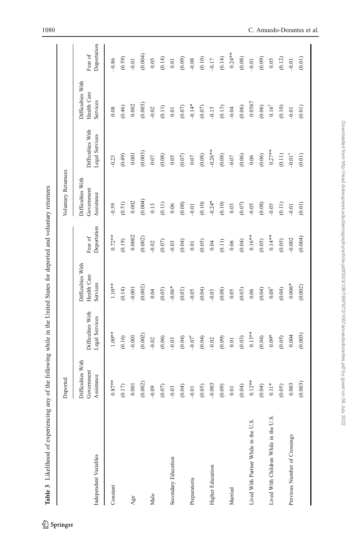| $\frac{1}{2}$      |
|--------------------|
| $\ddot{\cdot}$     |
|                    |
| -----------<br>i   |
| ;                  |
|                    |
|                    |
|                    |
|                    |
| :                  |
|                    |
|                    |
|                    |
| $\ddot{\ddot{\ }}$ |
|                    |
| Table 3            |

<span id="page-13-0"></span>

| Table 3 Likelihood of experiencing    | any of the following while in the United States for deported and voluntary returnees |                                     |                                              |                        |                                               |                                     |                                              |                        |
|---------------------------------------|--------------------------------------------------------------------------------------|-------------------------------------|----------------------------------------------|------------------------|-----------------------------------------------|-------------------------------------|----------------------------------------------|------------------------|
|                                       | Deported                                                                             |                                     |                                              |                        | Voluntary Returnees                           |                                     |                                              |                        |
| Independent Variables                 | Difficulties With<br>Government<br>Assistance                                        | Difficulties With<br>Legal Services | Difficulties With<br>Health Care<br>Services | Deportation<br>Fear of | Difficulties With<br>Government<br>Assistance | Difficulties With<br>Legal Services | Difficulties With<br>Health Care<br>Services | Deportation<br>Fear of |
| Constant                              | $0.87***$                                                                            | $1.00**$                            | $1.10**$                                     | $0.72***$              | $-0.59$                                       | $-0.23$                             | 0.08                                         | $-0.86$                |
|                                       | (0.17)                                                                               | (0.16)                              | (0.14)                                       | (0.19)                 | (0.51)                                        | (0.49)                              | (0.46)                                       | (0.59)                 |
| Age                                   | 0.001                                                                                | $-0.001$                            | $-0.001$                                     | 0.0002                 | $0.002$                                       | $0.001$                             | 0.002                                        | $-0.01$                |
|                                       | (0.002)                                                                              | (0.002)                             | (0.002)                                      | (0.002)                | (0.004)                                       | (0.003)                             | (0.003)                                      | (0.004)                |
| Male                                  | $-0.09$                                                                              | $-0.02$                             | 0.04                                         | $-0.02$                | 0.13                                          | $0.07\,$                            | $-0.02$                                      | 0.05                   |
|                                       | (0.07)                                                                               | (0.06)                              | (0.05)                                       | (0.07)                 | (0.11)                                        | (0.08)                              | (0.11)                                       | (0.14)                 |
| Secondary Education                   | $-0.03$                                                                              | $-0.03$                             | $-0.06*$                                     | $-0.03$                | 0.06                                          | 0.05                                | $0.01$                                       | $0.01$                 |
|                                       | (0.04)                                                                               | (0.04)                              | (0.03)                                       | (0.04)                 | (0.08)                                        | (0.07)                              | (0.07)                                       | (0.09)                 |
| Preparatoria                          | $-0.01$                                                                              | $-0.07$ <sup>†</sup>                | $-0.05$                                      | $0.01\,$               | $-0.01$                                       | $0.07\,$                            | $-0.14*$                                     | $-0.08$                |
|                                       | (0.05)                                                                               | (0.04)                              | (0.04)                                       | (0.05)                 | (0.10)                                        | (0.08)                              | $(0.07)$                                     | (0.10)                 |
| Higher Education                      | $-0.003$                                                                             | $-0.02$                             | $-0.03$                                      | 0.04                   | $-0.24*$                                      | $-0.26**$                           | $-0.15$                                      | $-0.17$                |
|                                       | (0.09)                                                                               | (0.09)                              | (0.08)                                       | (0.11)                 | (0.10)                                        | (0.08)                              | (0.13)                                       | (0.14)                 |
| Married                               | 0.01                                                                                 | 0.01                                | 0.05                                         | $0.06$                 | 0.03                                          | $-0.07$                             | $-0.04$                                      | $0.24***$              |
|                                       | (0.04)                                                                               | (0.03)                              | (0.03)                                       | (0.04)                 | (0.07)                                        | (0.06)                              | (0.06)                                       | (0.08)                 |
| Lived With Partner While in the U.S.  | $0.12***$                                                                            | $0.13***$                           | $0.06$                                       | $0.16**$               | $-0.05$                                       | $0.06$                              | 0.0567                                       | $-0.01$                |
|                                       | (0.04)                                                                               | $(0.04)$                            | (0.04)                                       | (0.05)                 | (0.08)                                        | (0.06)                              | $(0.06)$                                     | (0.09)                 |
| Lived With Children While in the U.S. | $0.11*$                                                                              | $0.09*$                             | $0.08^{\dagger}$                             | $0.14***$              | $-0.05$                                       | $0.27***$                           | 0.16 <sup>†</sup>                            | 0.05                   |
|                                       | (0.05)                                                                               | (0.05)                              | (0.04)                                       | (0.05)                 | (0.11)                                        | $(0.11)$                            | (0.10)                                       | (0.12)                 |
| Previous Number of Crossings          | 0.003                                                                                | 0.004                               | $0.006*$                                     | $-0.002$               | $-0.01$                                       | $-0.01$ <sup>†</sup>                | $-0.01$                                      | $-0.01$                |
|                                       | (0.003)                                                                              | (0.003)                             | (0.002)                                      | (0.004)                | (0.01)                                        | (0.01)                              | (0.01)                                       | (0.01)                 |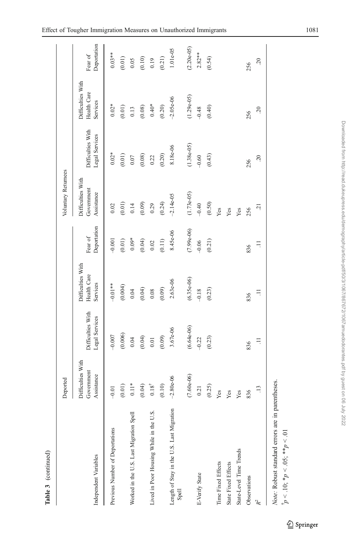|                                                    | Deported                                      |                                     |                                              |                        | Voluntary Returnees                           |                                     |                                              |                        |
|----------------------------------------------------|-----------------------------------------------|-------------------------------------|----------------------------------------------|------------------------|-----------------------------------------------|-------------------------------------|----------------------------------------------|------------------------|
| Independent Variables                              | Difficulties With<br>Government<br>Assistance | Difficulties With<br>Legal Services | Difficulties With<br>Health Care<br>Services | Deportation<br>Fear of | Difficulties With<br>Government<br>Assistance | Difficulties With<br>Legal Services | Difficulties With<br>Health Care<br>Services | Deportation<br>Fear of |
| Previous Number of Deportations                    | $-0.01$                                       | $-0.007$                            | $-0.01**$                                    | $-0.001$               | 0.02                                          | $0.02*$                             | $0.02*$                                      | $0.03***$              |
|                                                    | (0.01)                                        | (0.006)                             | (0.004)                                      | (0.01)                 | (0.01)                                        | (0.01)                              | $(0.01)$                                     | (0.01)                 |
| Worked in the U.S. Last Migration Spel             | $0.11*$                                       | 0.04                                | 0.04                                         | $0.09*$                | 0.14                                          | $0.07$                              | 0.13                                         | 0.05                   |
|                                                    | (0.04)                                        | (0.04)                              | (0.04)                                       | (0.04)                 | (0.09)                                        | (0.08)                              | (0.08)                                       | (0.10)                 |
| Lived in Poor Housing While in the U.S.            | $0.18^{+}$                                    | 0.01                                | 0.08                                         | 0.02                   | 0.29                                          | 0.22                                | $0.40*$                                      | 0.19                   |
|                                                    | (0.10)                                        | (0.09)                              | (0.09)                                       | (0.11)                 | (0.24)                                        | (0.20)                              | (0.20)                                       | (0.21)                 |
| Length of Stay in the U.S. Last Migration<br>Spell | $-2.80e-06$                                   | 3.67e-06                            | 2.63e-06                                     | 8.45e-06               | $-2.14e-05$                                   | 8.18e-06                            | $-2.05e-06$                                  | $1.01e-0.5$            |
|                                                    | $(7.60e-06)$                                  | $(6.64e-06)$                        | $(6.35e-06)$                                 | $(7.99e-06)$           | $(1.73e-0.5)$                                 | $(1.38e-0.5)$                       | $(1.29e-0.5)$                                | $(2.20e-05)$           |
| E-Verify State                                     | 0.21                                          | $-0.22$                             | $-0.18$                                      | $-0.06$                | $-0.40$                                       | $-0.60$                             | $-0.48$                                      | $2.82***$              |
|                                                    | (0.25)                                        | (0.23)                              | (0.23)                                       | (0.21)                 | $(0.50)$                                      | (0.43)                              | (0.40)                                       | (0.54)                 |
| Time Fixed Effects                                 | Yes                                           |                                     |                                              |                        | Yes                                           |                                     |                                              |                        |
| State Fixed Effects                                | Yes                                           |                                     |                                              |                        | Yes                                           |                                     |                                              |                        |
| State-Level Time Trends                            | Yes                                           |                                     |                                              |                        | Yes                                           |                                     |                                              |                        |
| Observations                                       | 836                                           | 836                                 | 836                                          | 836                    | 256                                           | 256                                 | 256                                          | 256                    |
|                                                    | $\frac{13}{2}$                                | Ę                                   | Ξ                                            | Ę                      | $\overline{c}$                                | 20                                  | $\sim$                                       | 20                     |
|                                                    |                                               |                                     |                                              |                        |                                               |                                     |                                              |                        |

Table 3 (continued)

Table 3 (continued)

Note: Robust standard errors are in parentheses. Note: Robust standard errors are in parentheses.

†  $p < 10; *p < 0.05; **p < 0.01$ 

Springer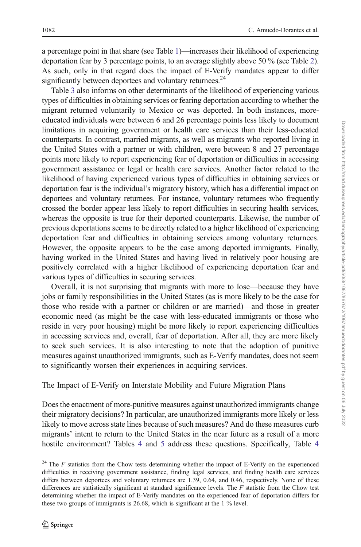a percentage point in that share (see Table [1\)](#page-7-0)—increases their likelihood of experiencing deportation fear by 3 percentage points, to an average slightly above 50 % (see Table [2\)](#page-9-0). As such, only in that regard does the impact of E-Verify mandates appear to differ significantly between deportees and voluntary returnees.<sup>24</sup>

Table [3](#page-13-0) also informs on other determinants of the likelihood of experiencing various types of difficulties in obtaining services or fearing deportation according to whether the migrant returned voluntarily to Mexico or was deported. In both instances, moreeducated individuals were between 6 and 26 percentage points less likely to document limitations in acquiring government or health care services than their less-educated counterparts. In contrast, married migrants, as well as migrants who reported living in the United States with a partner or with children, were between 8 and 27 percentage points more likely to report experiencing fear of deportation or difficulties in accessing government assistance or legal or health care services. Another factor related to the likelihood of having experienced various types of difficulties in obtaining services or deportation fear is the individual's migratory history, which has a differential impact on deportees and voluntary returnees. For instance, voluntary returnees who frequently crossed the border appear less likely to report difficulties in securing health services, whereas the opposite is true for their deported counterparts. Likewise, the number of previous deportations seems to be directly related to a higher likelihood of experiencing deportation fear and difficulties in obtaining services among voluntary returnees. However, the opposite appears to be the case among deported immigrants. Finally, having worked in the United States and having lived in relatively poor housing are positively correlated with a higher likelihood of experiencing deportation fear and various types of difficulties in securing services.

Overall, it is not surprising that migrants with more to lose—because they have jobs or family responsibilities in the United States (as is more likely to be the case for those who reside with a partner or children or are married)—and those in greater economic need (as might be the case with less-educated immigrants or those who reside in very poor housing) might be more likely to report experiencing difficulties in accessing services and, overall, fear of deportation. After all, they are more likely to seek such services. It is also interesting to note that the adoption of punitive measures against unauthorized immigrants, such as E-Verify mandates, does not seem to significantly worsen their experiences in acquiring services.

The Impact of E-Verify on Interstate Mobility and Future Migration Plans

Does the enactment of more-punitive measures against unauthorized immigrants change their migratory decisions? In particular, are unauthorized immigrants more likely or less likely to move across state lines because of such measures? And do these measures curb migrants' intent to return to the United States in the near future as a result of a more hostile environment? Tables [4](#page-17-0) and [5](#page-18-0) address these questions. Specifically, Table 4

 $24$  The F statistics from the Chow tests determining whether the impact of E-Verify on the experienced difficulties in receiving government assistance, finding legal services, and finding health care services differs between deportees and voluntary returnees are 1.39, 0.64, and 0.46, respectively. None of these differences are statistically significant at standard significance levels. The  $F$  statistic from the Chow test determining whether the impact of E-Verify mandates on the experienced fear of deportation differs for these two groups of immigrants is 26.68, which is significant at the 1 % level.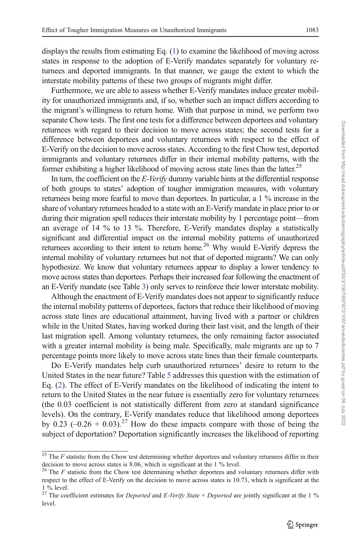displays the results from estimating Eq. ([1\)](#page-10-0) to examine the likelihood of moving across states in response to the adoption of E-Verify mandates separately for voluntary returnees and deported immigrants. In that manner, we gauge the extent to which the interstate mobility patterns of these two groups of migrants might differ.

Furthermore, we are able to assess whether E-Verify mandates induce greater mobility for unauthorized immigrants and, if so, whether such an impact differs according to the migrant's willingness to return home. With that purpose in mind, we perform two separate Chow tests. The first one tests for a difference between deportees and voluntary returnees with regard to their decision to move across states; the second tests for a difference between deportees and voluntary returnees with respect to the effect of E-Verify on the decision to move across states. According to the first Chow test, deported immigrants and voluntary returnees differ in their internal mobility patterns, with the former exhibiting a higher likelihood of moving across state lines than the latter.<sup>25</sup>

In turn, the coefficient on the  $E$ -Verify dummy variable hints at the differential response of both groups to states' adoption of tougher immigration measures, with voluntary returnees being more fearful to move than deportees. In particular, a 1 % increase in the share of voluntary returnees headed to a state with an E-Verify mandate in place prior to or during their migration spell reduces their interstate mobility by 1 percentage point—from an average of 14 % to 13 %. Therefore, E-Verify mandates display a statistically significant and differential impact on the internal mobility patterns of unauthorized returnees according to their intent to return home.<sup>26</sup> Why would E-Verify depress the internal mobility of voluntary returnees but not that of deported migrants? We can only hypothesize. We know that voluntary returnees appear to display a lower tendency to move across states than deportees. Perhaps their increased fear following the enactment of an E-Verify mandate (see Table [3\)](#page-13-0) only serves to reinforce their lower interstate mobility.

Although the enactment of E-Verify mandates does not appear to significantly reduce the internal mobility patterns of deportees, factors that reduce their likelihood of moving across state lines are educational attainment, having lived with a partner or children while in the United States, having worked during their last visit, and the length of their last migration spell. Among voluntary returnees, the only remaining factor associated with a greater internal mobility is being male. Specifically, male migrants are up to 7 percentage points more likely to move across state lines than their female counterparts.

Do E-Verify mandates help curb unauthorized returnees' desire to return to the United States in the near future? Table [5](#page-18-0) addresses this question with the estimation of Eq. ([2\)](#page-11-0). The effect of E-Verify mandates on the likelihood of indicating the intent to return to the United States in the near future is essentially zero for voluntary returnees (the 0.03 coefficient is not statistically different from zero at standard significance levels). On the contrary, E-Verify mandates reduce that likelihood among deportees by 0.23  $(-0.26 + 0.03)$ .<sup>27</sup> How do these impacts compare with those of being the subject of deportation? Deportation significantly increases the likelihood of reporting

 $25$  The F statistic from the Chow test determining whether deportees and voluntary returnees differ in their decision to move across states is 8.06, which is significant at the 1 % level.

 $26$  The F statistic from the Chow test determining whether deportees and voluntary returnees differ with respect to the effect of E-Verify on the decision to move across states is 10.73, which is significant at the 1 % level.

<sup>&</sup>lt;sup>27</sup> The coefficient estimates for *Deported* and *E-Verify State*  $\times$  *Deported* are jointly significant at the 1 % level.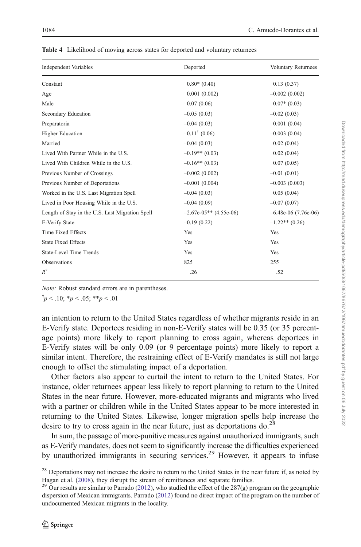| <b>Independent Variables</b>                    | Deported                 | <b>Voluntary Returnees</b> |
|-------------------------------------------------|--------------------------|----------------------------|
| Constant                                        | $0.80*(0.40)$            | 0.13(0.37)                 |
| Age                                             | 0.001(0.002)             | $-0.002(0.002)$            |
| Male                                            | $-0.07(0.06)$            | $0.07*(0.03)$              |
| Secondary Education                             | $-0.05(0.03)$            | $-0.02(0.03)$              |
| Preparatoria                                    | $-0.04(0.03)$            | 0.001(0.04)                |
| <b>Higher Education</b>                         | $-0.11^{\dagger}$ (0.06) | $-0.003(0.04)$             |
| Married                                         | $-0.04(0.03)$            | 0.02(0.04)                 |
| Lived With Partner While in the U.S.            | $-0.19**$ (0.03)         | 0.02(0.04)                 |
| Lived With Children While in the U.S.           | $-0.16**$ (0.03)         | 0.07(0.05)                 |
| Previous Number of Crossings                    | $-0.002(0.002)$          | $-0.01(0.01)$              |
| Previous Number of Deportations                 | $-0.001(0.004)$          | $-0.003(0.003)$            |
| Worked in the U.S. Last Migration Spell         | $-0.04(0.03)$            | 0.05(0.04)                 |
| Lived in Poor Housing While in the U.S.         | $-0.04(0.09)$            | $-0.07(0.07)$              |
| Length of Stay in the U.S. Last Migration Spell | $-2.67e-05**$ (4.55e-06) | $-6.48e-06$ (7.76e-06)     |
| E-Verify State                                  | $-0.19(0.22)$            | $-1.22**$ (0.26)           |
| Time Fixed Effects                              | Yes                      | Yes                        |
| <b>State Fixed Effects</b>                      | Yes                      | Yes                        |
| <b>State-Level Time Trends</b>                  | Yes                      | Yes                        |
| Observations                                    | 825                      | 255                        |
| $R^2$                                           | .26                      | .52                        |

<span id="page-17-0"></span>Table 4 Likelihood of moving across states for deported and voluntary returnees

Note: Robust standard errors are in parentheses.

 $\phi$  < .10; \* $p$  < .05; \*\* $p$  < .01

an intention to return to the United States regardless of whether migrants reside in an E-Verify state. Deportees residing in non-E-Verify states will be 0.35 (or 35 percentage points) more likely to report planning to cross again, whereas deportees in E-Verify states will be only 0.09 (or 9 percentage points) more likely to report a similar intent. Therefore, the restraining effect of E-Verify mandates is still not large enough to offset the stimulating impact of a deportation.

Other factors also appear to curtail the intent to return to the United States. For instance, older returnees appear less likely to report planning to return to the United States in the near future. However, more-educated migrants and migrants who lived with a partner or children while in the United States appear to be more interested in returning to the United States. Likewise, longer migration spells help increase the desire to try to cross again in the near future, just as deportations do.<sup>28</sup>

In sum, the passage of more-punitive measures against unauthorized immigrants, such as E-Verify mandates, does not seem to significantly increase the difficulties experienced by unauthorized immigrants in securing services.<sup>29</sup> However, it appears to infuse

 $28$  Deportations may not increase the desire to return to the United States in the near future if, as noted by Hagan et al. ([2008](#page-23-0)), they disrupt the stream of remittances and separate families.<br><sup>29</sup> Our results are similar to Parrado [\(2012](#page-23-0)), who studied the effect of the 287(g) program on the geographic

dispersion of Mexican immigrants. Parrado ([2012\)](#page-23-0) found no direct impact of the program on the number of undocumented Mexican migrants in the locality.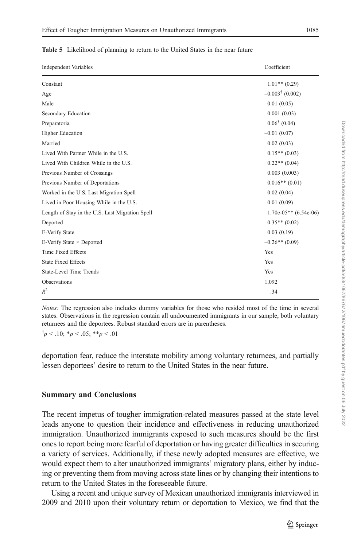| <b>Independent Variables</b>                    | Coefficient                |
|-------------------------------------------------|----------------------------|
| Constant                                        | $1.01**$ (0.29)            |
| Age                                             | $-0.003^{\dagger}$ (0.002) |
| Male                                            | $-0.01(0.05)$              |
| Secondary Education                             | 0.001(0.03)                |
| Preparatoria                                    | $0.06^{\dagger}$ (0.04)    |
| <b>Higher Education</b>                         | $-0.01(0.07)$              |
| Married                                         | 0.02(0.03)                 |
| Lived With Partner While in the U.S.            | $0.15**$ (0.03)            |
| Lived With Children While in the U.S.           | $0.22**$ (0.04)            |
| Previous Number of Crossings                    | 0.003(0.003)               |
| Previous Number of Deportations                 | $0.016**$ (0.01)           |
| Worked in the U.S. Last Migration Spell         | 0.02(0.04)                 |
| Lived in Poor Housing While in the U.S.         | 0.01(0.09)                 |
| Length of Stay in the U.S. Last Migration Spell | $1.70e-05**$ (6.54e-06)    |
| Deported                                        | $0.35**$ (0.02)            |
| E-Verify State                                  | 0.03(0.19)                 |
| E-Verify State $\times$ Deported                | $-0.26**$ (0.09)           |
| <b>Time Fixed Effects</b>                       | Yes                        |
| <b>State Fixed Effects</b>                      | Yes                        |
| <b>State-Level Time Trends</b>                  | Yes                        |
| Observations                                    | 1,092                      |
| $R^2$                                           | .34                        |

<span id="page-18-0"></span>Table 5 Likelihood of planning to return to the United States in the near future

Notes: The regression also includes dummy variables for those who resided most of the time in several states. Observations in the regression contain all undocumented immigrants in our sample, both voluntary returnees and the deportees. Robust standard errors are in parentheses.

 $\phi$  < .10; \* $p$  < .05; \*\* $p$  < .01

deportation fear, reduce the interstate mobility among voluntary returnees, and partially lessen deportees' desire to return to the United States in the near future.

## Summary and Conclusions

The recent impetus of tougher immigration-related measures passed at the state level leads anyone to question their incidence and effectiveness in reducing unauthorized immigration. Unauthorized immigrants exposed to such measures should be the first ones to report being more fearful of deportation or having greater difficulties in securing a variety of services. Additionally, if these newly adopted measures are effective, we would expect them to alter unauthorized immigrants' migratory plans, either by inducing or preventing them from moving across state lines or by changing their intentions to return to the United States in the foreseeable future.

Using a recent and unique survey of Mexican unauthorized immigrants interviewed in 2009 and 2010 upon their voluntary return or deportation to Mexico, we find that the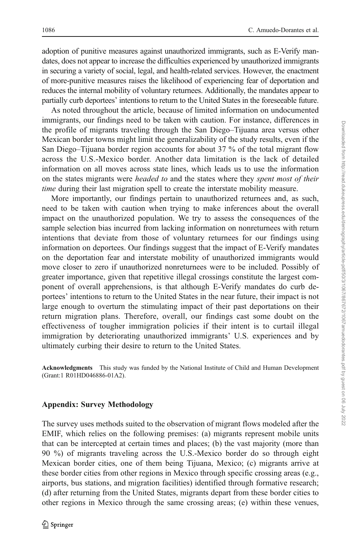<span id="page-19-0"></span>adoption of punitive measures against unauthorized immigrants, such as E-Verify mandates, does not appear to increase the difficulties experienced by unauthorized immigrants in securing a variety of social, legal, and health-related services. However, the enactment of more-punitive measures raises the likelihood of experiencing fear of deportation and reduces the internal mobility of voluntary returnees. Additionally, the mandates appear to partially curb deportees' intentions to return to the United States in the foreseeable future.

As noted throughout the article, because of limited information on undocumented immigrants, our findings need to be taken with caution. For instance, differences in the profile of migrants traveling through the San Diego–Tijuana area versus other Mexican border towns might limit the generalizability of the study results, even if the San Diego–Tijuana border region accounts for about 37 % of the total migrant flow across the U.S.-Mexico border. Another data limitation is the lack of detailed information on all moves across state lines, which leads us to use the information on the states migrants were *headed to* and the states where they *spent most of their* time during their last migration spell to create the interstate mobility measure.

More importantly, our findings pertain to unauthorized returnees and, as such, need to be taken with caution when trying to make inferences about the overall impact on the unauthorized population. We try to assess the consequences of the sample selection bias incurred from lacking information on nonreturnees with return intentions that deviate from those of voluntary returnees for our findings using information on deportees. Our findings suggest that the impact of E-Verify mandates on the deportation fear and interstate mobility of unauthorized immigrants would move closer to zero if unauthorized nonreturnees were to be included. Possibly of greater importance, given that repetitive illegal crossings constitute the largest component of overall apprehensions, is that although E-Verify mandates do curb deportees' intentions to return to the United States in the near future, their impact is not large enough to overturn the stimulating impact of their past deportations on their return migration plans. Therefore, overall, our findings cast some doubt on the effectiveness of tougher immigration policies if their intent is to curtail illegal immigration by deteriorating unauthorized immigrants' U.S. experiences and by ultimately curbing their desire to return to the United States.

Acknowledgments This study was funded by the National Institute of Child and Human Development (Grant:1 R01HD046886-01A2).

## Appendix: Survey Methodology

The survey uses methods suited to the observation of migrant flows modeled after the EMIF, which relies on the following premises: (a) migrants represent mobile units that can be intercepted at certain times and places; (b) the vast majority (more than 90 %) of migrants traveling across the U.S.-Mexico border do so through eight Mexican border cities, one of them being Tijuana, Mexico; (c) migrants arrive at these border cities from other regions in Mexico through specific crossing areas (e.g., airports, bus stations, and migration facilities) identified through formative research; (d) after returning from the United States, migrants depart from these border cities to other regions in Mexico through the same crossing areas; (e) within these venues,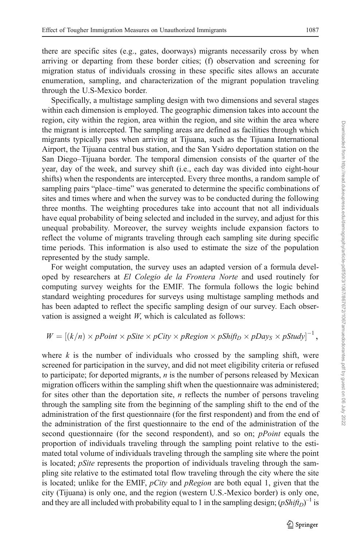there are specific sites (e.g., gates, doorways) migrants necessarily cross by when arriving or departing from these border cities; (f) observation and screening for migration status of individuals crossing in these specific sites allows an accurate enumeration, sampling, and characterization of the migrant population traveling through the U.S-Mexico border.

Specifically, a multistage sampling design with two dimensions and several stages within each dimension is employed. The geographic dimension takes into account the region, city within the region, area within the region, and site within the area where the migrant is intercepted. The sampling areas are defined as facilities through which migrants typically pass when arriving at Tijuana, such as the Tijuana International Airport, the Tijuana central bus station, and the San Ysidro deportation station on the San Diego–Tijuana border. The temporal dimension consists of the quarter of the year, day of the week, and survey shift (i.e., each day was divided into eight-hour shifts) when the respondents are intercepted. Every three months, a random sample of sampling pairs "place–time" was generated to determine the specific combinations of sites and times where and when the survey was to be conducted during the following three months. The weighting procedures take into account that not all individuals have equal probability of being selected and included in the survey, and adjust for this unequal probability. Moreover, the survey weights include expansion factors to reflect the volume of migrants traveling through each sampling site during specific time periods. This information is also used to estimate the size of the population represented by the study sample.

For weight computation, the survey uses an adapted version of a formula developed by researchers at El Colegio de la Frontera Norte and used routinely for computing survey weights for the EMIF. The formula follows the logic behind standard weighting procedures for surveys using multistage sampling methods and has been adapted to reflect the specific sampling design of our survey. Each observation is assigned a weight  $W$ , which is calculated as follows:

$$
W = [(k/n) \times pPoint \times pSite \times pCity \times pRegion \times pShift_D \times pDay_S \times pStudy]^{-1},
$$

where  $k$  is the number of individuals who crossed by the sampling shift, were screened for participation in the survey, and did not meet eligibility criteria or refused to participate; for deported migrants,  $n$  is the number of persons released by Mexican migration officers within the sampling shift when the questionnaire was administered; for sites other than the deportation site,  $n$  reflects the number of persons traveling through the sampling site from the beginning of the sampling shift to the end of the administration of the first questionnaire (for the first respondent) and from the end of the administration of the first questionnaire to the end of the administration of the second questionnaire (for the second respondent), and so on; *pPoint* equals the proportion of individuals traveling through the sampling point relative to the estimated total volume of individuals traveling through the sampling site where the point is located;  $p\text{Site}$  represents the proportion of individuals traveling through the sampling site relative to the estimated total flow traveling through the city where the site is located; unlike for the EMIF,  $pCity$  and  $pRegion$  are both equal 1, given that the city (Tijuana) is only one, and the region (western U.S.-Mexico border) is only one, and they are all included with probability equal to 1 in the sampling design;  $(pShift_D)^{-1}$  is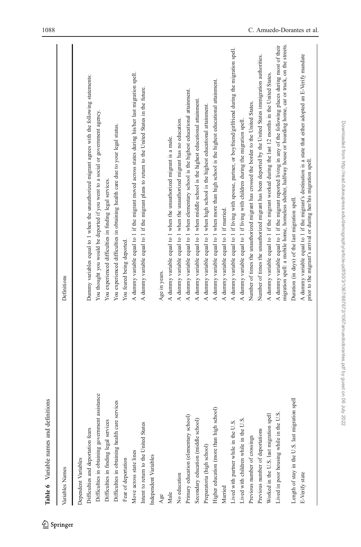| Variables Names                                    | Definitions                                                                                                                                                                                                                       |
|----------------------------------------------------|-----------------------------------------------------------------------------------------------------------------------------------------------------------------------------------------------------------------------------------|
| Dependent Variables                                |                                                                                                                                                                                                                                   |
| Difficulties and deportation fears                 | Dummy variables equal to 1 when the unauthorized migrant agrees with the following statements:                                                                                                                                    |
| Difficulties in obtaining government assistance    | You thought you would be deported if you went to a social or government agency.                                                                                                                                                   |
| Difficulties in finding legal services             | You experienced difficulties in finding legal services.                                                                                                                                                                           |
| Difficulties in obtaining health care services     | You experienced difficulties in obtaining health care due to your legal status.                                                                                                                                                   |
| Fear of deportation                                | You feared being deported                                                                                                                                                                                                         |
| Move across state lines                            | A dummy variable equal to 1 if the migrant moved across states during his/her last migration spell.                                                                                                                               |
| Intent to return to the United States              | A dummy variable equal to 1 if the migrant plans to return to the United States in the future.                                                                                                                                    |
| Independent Variables                              |                                                                                                                                                                                                                                   |
| Age                                                | Age in years.                                                                                                                                                                                                                     |
| Male                                               | A dummy variable equal to 1 when the unauthorized migrant is a male.                                                                                                                                                              |
| No education                                       | A dummy variable equal to 1 when the unauthorized migrant has no education.                                                                                                                                                       |
| Primary education (elementary school)              | A dummy variable equal to 1 when elementary school is the highest educational attainment.                                                                                                                                         |
| Secondary education (middle school)                | A dummy variable equal to 1 when middle school is the highest educational attainment.                                                                                                                                             |
| Preparatoria (high school)                         | A dummy variable equal to 1 when high school is the highest educational attainment.                                                                                                                                               |
| Higher education (more than high school            | A dummy variable equal to 1 when more than high school is the highest educational attainment.                                                                                                                                     |
| Married                                            | A dummy variable equal to 1 if married.                                                                                                                                                                                           |
| Lived with partner while in the U.S.               | A dummy variable equal to 1 if living with spouse, partner, or boyfriend/girlfriend during the migration spell.                                                                                                                   |
| Lived with children while in the U.S.              | A dummy variable equal to 1 if living with children during the migration spell.                                                                                                                                                   |
| Previous number of crossings                       | Number of times the unauthorized migrant has crossed the border to the United States.                                                                                                                                             |
| Previous number of deportations                    | Number of times the unauthorized migrant has been deported by the United States immigration authorities.                                                                                                                          |
| Worked in the U.S. last migration spell            | A dummy variable equal to 1 if the migrant worked during the last 12 months in the United States.                                                                                                                                 |
| Lived in poor housing while in the U.S.            | migration spell: a mobile home, homeless shelter, halfway house or boarding home, car or truck, on the streets.<br>A dummy variable equal to 1 if the migrant reported living in any of the following places during most of their |
| spell<br>Length of stay in the U.S. last migration | Duration (in days) of the last migration spell.                                                                                                                                                                                   |
| E-Verify state                                     | A dummy variable equal to 1 if the migrant's destination is a state that either adopted an E-Verify mandate<br>prior to the migrant's arrival or during her/his migration spell.                                                  |

Table 6 Variable names and definitions

Table 6 Variable names and definitions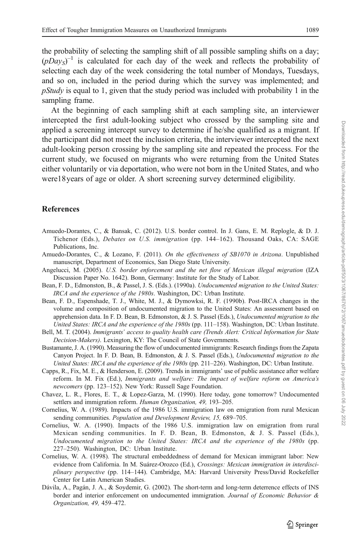<span id="page-22-0"></span>the probability of selecting the sampling shift of all possible sampling shifts on a day;  $(pDay_S)^{-1}$  is calculated for each day of the week and reflects the probability of selecting each day of the week considering the total number of Mondays, Tuesdays, and so on, included in the period during which the survey was implemented; and  $pStudy$  is equal to 1, given that the study period was included with probability 1 in the sampling frame.

At the beginning of each sampling shift at each sampling site, an interviewer intercepted the first adult-looking subject who crossed by the sampling site and applied a screening intercept survey to determine if he/she qualified as a migrant. If the participant did not meet the inclusion criteria, the interviewer intercepted the next adult-looking person crossing by the sampling site and repeated the process. For the current study, we focused on migrants who were returning from the United States either voluntarily or via deportation, who were not born in the United States, and who were18years of age or older. A short screening survey determined eligibility.

#### References

- Amuedo-Dorantes, C., & Bansak, C. (2012). U.S. border control. In J. Gans, E. M. Replogle, & D. J. Tichenor (Eds.), Debates on U.S. immigration (pp. 144–162). Thousand Oaks, CA: SAGE Publications, Inc.
- Amuedo-Dorantes, C., & Lozano, F. (2011). On the effectiveness of SB1070 in Arizona. Unpublished manuscript, Department of Economics, San Diego State University.
- Angelucci, M. (2005). U.S. border enforcement and the net flow of Mexican illegal migration (IZA Discussion Paper No. 1642). Bonn, Germany: Institute for the Study of Labor.
- Bean, F. D., Edmonston, B., & Passel, J. S. (Eds.). (1990a). Undocumented migration to the United States: IRCA and the experience of the 1980s. Washington, DC: Urban Institute.
- Bean, F. D., Espenshade, T. J., White, M. J., & Dymowksi, R. F. (1990b). Post-IRCA changes in the volume and composition of undocumented migration to the United States: An assessment based on apprehension data. In F. D. Bean, B. Edmonston, & J. S. Passel (Eds.), Undocumented migration to the United States: IRCA and the experience of the 1980s (pp. 111–158). Washington, DC: Urban Institute.
- Bell, M. T. (2004). Immigrants' access to quality health care (Trends Alert: Critical Information for State Decision-Makers). Lexington, KY: The Council of State Governments.
- Bustamante, J. A. (1990). Measuring the flow of undocumented immigrants: Research findings from the Zapata Canyon Project. In F. D. Bean, B. Edmonston, & J. S. Passel (Eds.), Undocumented migration to the United States: IRCA and the experience of the 1980s (pp. 211–226). Washington, DC: Urban Institute.
- Capps, R., Fix, M. E., & Henderson, E. (2009). Trends in immigrants' use of public assistance after welfare reform. In M. Fix (Ed.), Immigrants and welfare: The impact of welfare reform on America's newcomers (pp. 123–152). New York: Russell Sage Foundation.
- Chavez, L. R., Flores, E. T., & Lopez-Garza, M. (1990). Here today, gone tomorrow? Undocumented settlers and immigration reform. Human Organization, 49, 193–205.
- Cornelius, W. A. (1989). Impacts of the 1986 U.S. immigration law on emigration from rural Mexican sending communities. Population and Development Review, 15, 689–705.
- Cornelius, W. A. (1990). Impacts of the 1986 U.S. immigration law on emigration from rural Mexican sending communities. In F. D. Bean, B. Edmonston, & J. S. Passel (Eds.), Undocumented migration to the United States: IRCA and the experience of the 1980s (pp. 227–250). Washington, DC: Urban Institute.
- Cornelius, W. A. (1998). The structural embeddedness of demand for Mexican immigrant labor: New evidence from California. In M. Suárez-Orozco (Ed.), Crossings: Mexican immigration in interdisciplinary perspective (pp. 114–144). Cambridge, MA: Harvard University Press/David Rockefeller Center for Latin American Studies.
- Dávila, A., Pagán, J. A., & Soydemir, G. (2002). The short-term and long-term deterrence effects of INS border and interior enforcement on undocumented immigration. Journal of Economic Behavior & Organization, 49, 459–472.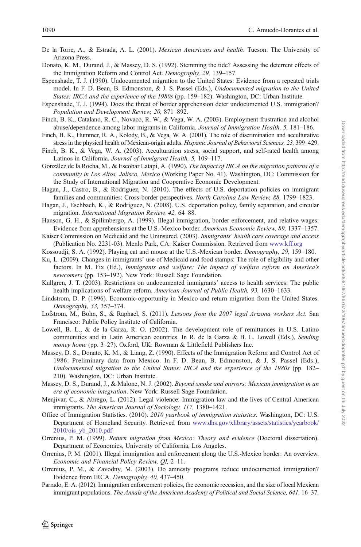- <span id="page-23-0"></span>De la Torre, A., & Estrada, A. L. (2001). Mexican Americans and health. Tucson: The University of Arizona Press.
- Donato, K. M., Durand, J., & Massey, D. S. (1992). Stemming the tide? Assessing the deterrent effects of the Immigration Reform and Control Act. Demography, 29, 139–157.
- Espenshade, T. J. (1990). Undocumented migration to the United States: Evidence from a repeated trials model. In F. D. Bean, B. Edmonston, & J. S. Passel (Eds.), Undocumented migration to the United States: IRCA and the experience of the 1980s (pp. 159–182). Washington, DC: Urban Institute.
- Espenshade, T. J. (1994). Does the threat of border apprehension deter undocumented U.S. immigration? Population and Development Review, 20, 871–892.
- Finch, B. K., Catalano, R. C., Novaco, R. W., & Vega, W. A. (2003). Employment frustration and alcohol abuse/dependence among labor migrants in California. Journal of Immigration Health, 5, 181–186.
- Finch, B. K., Hummer, R. A., Kolody, B., & Vega, W. A. (2001). The role of discrimination and acculturative stress in the physical health of Mexican-origin adults. Hispanic Journal of Behavioral Sciences, 23, 399–429.
- Finch, B. K., & Vega, W. A. (2003). Acculturation stress, social support, and self-rated health among Latinos in California. Journal of Immigrant Health, 5, 109–117.
- González de la Rocha, M., & Escobar Latapi, A. (1990). The impact of IRCA on the migration patterns of a community in Los Altos, Jalisco, Mexico (Working Paper No. 41). Washington, DC: Commission for the Study of International Migration and Cooperative Economic Development.
- Hagan, J., Castro, B., & Rodriguez, N. (2010). The effects of U.S. deportation policies on immigrant families and communities: Cross-border perspectives. North Carolina Law Review, 88, 1799–1823.
- Hagan, J., Eschbach, K., & Rodriguez, N. (2008). U.S. deportation policy, family separation, and circular migration. International Migration Review, 42, 64–88.
- Hanson, G. H., & Spilimbergo, A. (1999). Illegal immigration, border enforcement, and relative wages: Evidence from apprehensions at the U.S.-Mexico border. American Economic Review, 89, 1337–1357.
- Kaiser Commission on Medicaid and the Uninsured. (2003). Immigrants' health care coverage and access (Publication No. 2231-03). Menlo Park, CA: Kaiser Commission. Retrieved from [www.kff.org](http://www.kff.org/)
- Kossoudji, S. A. (1992). Playing cat and mouse at the U.S.-Mexican border. *Demography*, 29, 159–180.
- Ku, L. (2009). Changes in immigrants' use of Medicaid and food stamps: The role of eligibility and other factors. In M. Fix (Ed.), Immigrants and welfare: The impact of welfare reform on America's newcomers (pp. 153–192). New York: Russell Sage Foundation.
- Kullgren, J. T. (2003). Restrictions on undocumented immigrants' access to health services: The public health implications of welfare reform. American Journal of Public Health, 93, 1630–1633.
- Lindstrom, D. P. (1996). Economic opportunity in Mexico and return migration from the United States. Demography, 33, 357–374.
- Lofstrom, M., Bohn, S., & Raphael, S. (2011). Lessons from the 2007 legal Arizona workers Act. San Francisco: Public Policy Institute of California.
- Lowell, B. L., & de la Garza, R. O. (2002). The development role of remittances in U.S. Latino communities and in Latin American countries. In R. de la Garza & B. L. Lowell (Eds.), Sending money home (pp. 3–27). Oxford, UK: Rowman & Littlefield Publishers Inc.
- Massey, D. S., Donato, K. M., & Liang, Z. (1990). Effects of the Immigration Reform and Control Act of 1986: Preliminary data from Mexico. In F. D. Bean, B. Edmonston, & J. S. Passel (Eds.), Undocumented migration to the United States: IRCA and the experience of the 1980s (pp. 182– 210). Washington, DC: Urban Institute.
- Massey, D. S., Durand, J., & Malone, N. J. (2002). Beyond smoke and mirrors: Mexican immigration in an era of economic integration. New York: Russell Sage Foundation.
- Menjivar, C., & Abrego, L. (2012). Legal violence: Immigration law and the lives of Central American immigrants. The American Journal of Sociology, 117, 1380–1421.
- Office of Immigration Statistics. (2010). 2010 yearbook of immigration statistics. Washington, DC: U.S. Department of Homeland Security. Retrieved from [www.dhs.gov/xlibrary/assets/statistics/yearbook/](http://www.dhs.gov/xlibrary/assets/statistics/yearbook/2010/ois_yb_2010.pdf) [2010/ois\\_yb\\_2010.pdf](http://www.dhs.gov/xlibrary/assets/statistics/yearbook/2010/ois_yb_2010.pdf)
- Orrenius, P. M. (1999). Return migration from Mexico: Theory and evidence (Doctoral dissertation). Department of Economics, University of California, Los Angeles.
- Orrenius, P. M. (2001). Illegal immigration and enforcement along the U.S.-Mexico border: An overview. Economic and Financial Policy Review, QI, 2–11.
- Orrenius, P. M., & Zavodny, M. (2003). Do amnesty programs reduce undocumented immigration? Evidence from IRCA. Demography, 40, 437–450.
- Parrado, E. A. (2012). Immigration enforcement policies, the economic recession, and the size of local Mexican immigrant populations. The Annals of the American Academy of Political and Social Science, 641, 16–37.